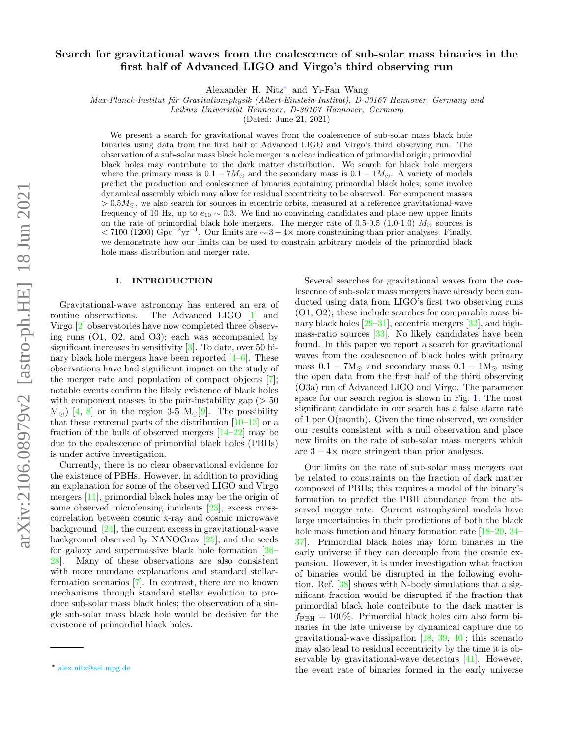# Search for gravitational waves from the coalescence of sub-solar mass binaries in the first half of Advanced LIGO and Virgo's third observing run

Alexander H. Nitz[∗](#page-0-0) and Yi-Fan Wang

Max-Planck-Institut für Gravitationsphysik (Albert-Einstein-Institut), D-30167 Hannover, Germany and

Leibniz Universität Hannover, D-30167 Hannover, Germany

(Dated: June 21, 2021)

We present a search for gravitational waves from the coalescence of sub-solar mass black hole binaries using data from the first half of Advanced LIGO and Virgo's third observing run. The observation of a sub-solar mass black hole merger is a clear indication of primordial origin; primordial black holes may contribute to the dark matter distribution. We search for black hole mergers where the primary mass is  $0.1 - 7M_{\odot}$  and the secondary mass is  $0.1 - 1M_{\odot}$ . A variety of models predict the production and coalescence of binaries containing primordial black holes; some involve dynamical assembly which may allow for residual eccentricity to be observed. For component masses  $> 0.5 M_{\odot}$ , we also search for sources in eccentric orbits, measured at a reference gravitational-wave frequency of 10 Hz, up to  $e_{10} \sim 0.3$ . We find no convincing candidates and place new upper limits on the rate of primordial black hole mergers. The merger rate of 0.5-0.5 (1.0-1.0)  $M_{\odot}$  sources is  $<$  7100 (1200) Gpc<sup>-3</sup>yr<sup>-1</sup>. Our limits are  $\sim$  3 – 4× more constraining than prior analyses. Finally, we demonstrate how our limits can be used to constrain arbitrary models of the primordial black hole mass distribution and merger rate.

### I. INTRODUCTION

Gravitational-wave astronomy has entered an era of routine observations. The Advanced LIGO [\[1\]](#page-4-0) and Virgo [\[2\]](#page-4-1) observatories have now completed three observing runs (O1, O2, and O3); each was accompanied by significant increases in sensitivity [\[3\]](#page-4-2). To date, over 50 binary black hole mergers have been reported  $[4-6]$  $[4-6]$ . These observations have had significant impact on the study of the merger rate and population of compact objects [\[7\]](#page-4-5); notable events confirm the likely existence of black holes with component masses in the pair-instability gap ( $> 50$ )  $M_{\odot}$ ) [\[4,](#page-4-3) [8\]](#page-4-6) or in the region 3-5  $M_{\odot}$ [\[9\]](#page-4-7). The possibility that these extremal parts of the distribution  $[10-13]$  $[10-13]$  or a fraction of the bulk of observed mergers [\[14–](#page-4-10)[22\]](#page-4-11) may be due to the coalescence of primordial black holes (PBHs) is under active investigation.

Currently, there is no clear observational evidence for the existence of PBHs. However, in addition to providing an explanation for some of the observed LIGO and Virgo mergers [\[11\]](#page-4-12), primordial black holes may be the origin of some observed microlensing incidents [\[23\]](#page-4-13), excess crosscorrelation between cosmic x-ray and cosmic microwave background  $[24]$ , the current excess in gravitational-wave background observed by NANOGrav [\[25\]](#page-5-0), and the seeds for galaxy and supermassive black hole formation [\[26–](#page-5-1) [28\]](#page-5-2). Many of these observations are also consistent with more mundane explanations and standard stellarformation scenarios [\[7\]](#page-4-5). In contrast, there are no known mechanisms through standard stellar evolution to produce sub-solar mass black holes; the observation of a single sub-solar mass black hole would be decisive for the existence of primordial black holes.

Several searches for gravitational waves from the coalescence of sub-solar mass mergers have already been conducted using data from LIGO's first two observing runs (O1, O2); these include searches for comparable mass binary black holes  $[29-31]$  $[29-31]$ , eccentric mergers  $[32]$ , and highmass-ratio sources [\[33\]](#page-5-6). No likely candidates have been found. In this paper we report a search for gravitational waves from the coalescence of black holes with primary mass  $0.1 - 7M_{\odot}$  and secondary mass  $0.1 - 1M_{\odot}$  using the open data from the first half of the third observing (O3a) run of Advanced LIGO and Virgo. The parameter space for our search region is shown in Fig. [1.](#page-1-0) The most significant candidate in our search has a false alarm rate of 1 per O(month). Given the time observed, we consider our results consistent with a null observation and place new limits on the rate of sub-solar mass mergers which are  $3 - 4 \times$  more stringent than prior analyses.

Our limits on the rate of sub-solar mass mergers can be related to constraints on the fraction of dark matter composed of PBHs; this requires a model of the binary's formation to predict the PBH abundance from the observed merger rate. Current astrophysical models have large uncertainties in their predictions of both the black hole mass function and binary formation rate  $[18-20, 34 [18-20, 34 [18-20, 34-$ [37\]](#page-5-8). Primordial black holes may form binaries in the early universe if they can decouple from the cosmic expansion. However, it is under investigation what fraction of binaries would be disrupted in the following evolution. Ref. [\[38\]](#page-5-9) shows with N-body simulations that a significant fraction would be disrupted if the fraction that primordial black hole contribute to the dark matter is  $f_{\rm PBH} = 100\%$ . Primordial black holes can also form binaries in the late universe by dynamical capture due to gravitational-wave dissipation  $[18, 39, 40]$  $[18, 39, 40]$  $[18, 39, 40]$  $[18, 39, 40]$  $[18, 39, 40]$ ; this scenario may also lead to residual eccentricity by the time it is observable by gravitational-wave detectors [\[41\]](#page-5-12). However, the event rate of binaries formed in the early universe

<span id="page-0-0"></span><sup>∗</sup> [alex.nitz@aei.mpg.de](mailto:alex.nitz@aei.mpg.de)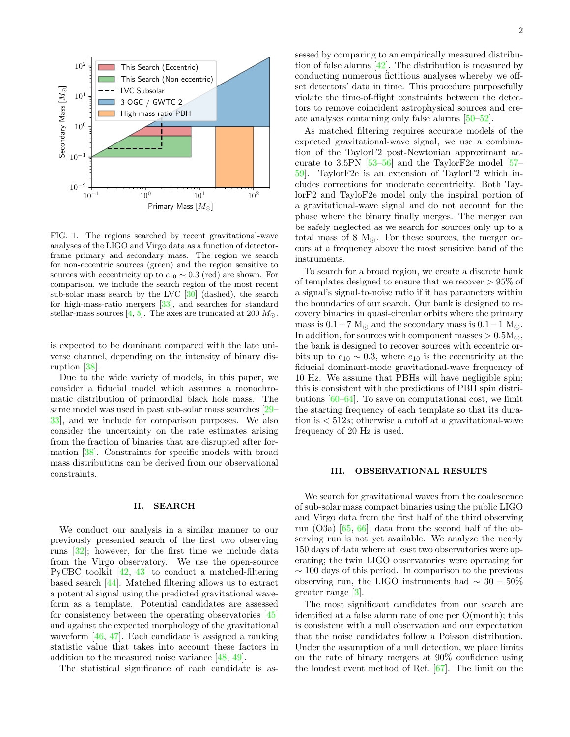

<span id="page-1-0"></span>FIG. 1. The regions searched by recent gravitational-wave analyses of the LIGO and Virgo data as a function of detectorframe primary and secondary mass. The region we search for non-eccentric sources (green) and the region sensitive to sources with eccentricity up to  $e_{10} \sim 0.3$  (red) are shown. For comparison, we include the search region of the most recent sub-solar mass search by the LVC [\[30\]](#page-5-13) (dashed), the search for high-mass-ratio mergers [\[33\]](#page-5-6), and searches for standard stellar-mass sources [\[4,](#page-4-3) [5\]](#page-4-17). The axes are truncated at 200  $M_{\odot}$ .

is expected to be dominant compared with the late universe channel, depending on the intensity of binary disruption [\[38\]](#page-5-9).

Due to the wide variety of models, in this paper, we consider a fiducial model which assumes a monochromatic distribution of primordial black hole mass. The same model was used in past sub-solar mass searches [\[29–](#page-5-3) [33\]](#page-5-6), and we include for comparison purposes. We also consider the uncertainty on the rate estimates arising from the fraction of binaries that are disrupted after formation [\[38\]](#page-5-9). Constraints for specific models with broad mass distributions can be derived from our observational constraints.

### II. SEARCH

We conduct our analysis in a similar manner to our previously presented search of the first two observing runs [\[32\]](#page-5-5); however, for the first time we include data from the Virgo observatory. We use the open-source PyCBC toolkit [\[42,](#page-5-14) [43\]](#page-5-15) to conduct a matched-filtering based search [\[44\]](#page-5-16). Matched filtering allows us to extract a potential signal using the predicted gravitational waveform as a template. Potential candidates are assessed for consistency between the operating observatories [\[45\]](#page-5-17) and against the expected morphology of the gravitational waveform [\[46,](#page-5-18) [47\]](#page-5-19). Each candidate is assigned a ranking statistic value that takes into account these factors in addition to the measured noise variance [\[48,](#page-5-20) [49\]](#page-5-21).

The statistical significance of each candidate is as-

sessed by comparing to an empirically measured distribution of false alarms  $[42]$ . The distribution is measured by conducting numerous fictitious analyses whereby we offset detectors' data in time. This procedure purposefully violate the time-of-flight constraints between the detectors to remove coincident astrophysical sources and create analyses containing only false alarms [\[50](#page-5-22)[–52\]](#page-5-23).

As matched filtering requires accurate models of the expected gravitational-wave signal, we use a combination of the TaylorF2 post-Newtonian approximant accurate to 3.5PN  $[53-56]$  $[53-56]$  and the TaylorF2e model  $[57-$ [59\]](#page-6-2). TaylorF2e is an extension of TaylorF2 which includes corrections for moderate eccentricity. Both TaylorF2 and TayloF2e model only the inspiral portion of a gravitational-wave signal and do not account for the phase where the binary finally merges. The merger can be safely neglected as we search for sources only up to a total mass of 8  $M_{\odot}$ . For these sources, the merger occurs at a frequency above the most sensitive band of the instruments.

To search for a broad region, we create a discrete bank of templates designed to ensure that we recover  $> 95\%$  of a signal's signal-to-noise ratio if it has parameters within the boundaries of our search. Our bank is designed to recovery binaries in quasi-circular orbits where the primary mass is  $0.1 - 7$  M<sub> $\odot$ </sub> and the secondary mass is  $0.1 - 1$  M $\odot$ . In addition, for sources with component masses  $> 0.5 M_{\odot}$ , the bank is designed to recover sources with eccentric orbits up to  $e_{10} \sim 0.3$ , where  $e_{10}$  is the eccentricity at the fiducial dominant-mode gravitational-wave frequency of 10 Hz. We assume that PBHs will have negligible spin; this is consistent with the predictions of PBH spin distributions [\[60–](#page-6-3)[64\]](#page-6-4). To save on computational cost, we limit the starting frequency of each template so that its duration is  $\langle 512s;$  otherwise a cutoff at a gravitational-wave frequency of 20 Hz is used.

#### III. OBSERVATIONAL RESULTS

We search for gravitational waves from the coalescence of sub-solar mass compact binaries using the public LIGO and Virgo data from the first half of the third observing run (O3a) [\[65,](#page-6-5) [66\]](#page-6-6); data from the second half of the observing run is not yet available. We analyze the nearly 150 days of data where at least two observatories were operating; the twin LIGO observatories were operating for  $\sim$  100 days of this period. In comparison to the previous observing run, the LIGO instruments had  $\sim 30-50\%$ greater range [\[3\]](#page-4-2).

The most significant candidates from our search are identified at a false alarm rate of one per O(month); this is consistent with a null observation and our expectation that the noise candidates follow a Poisson distribution. Under the assumption of a null detection, we place limits on the rate of binary mergers at 90% confidence using the loudest event method of Ref. [\[67\]](#page-6-7). The limit on the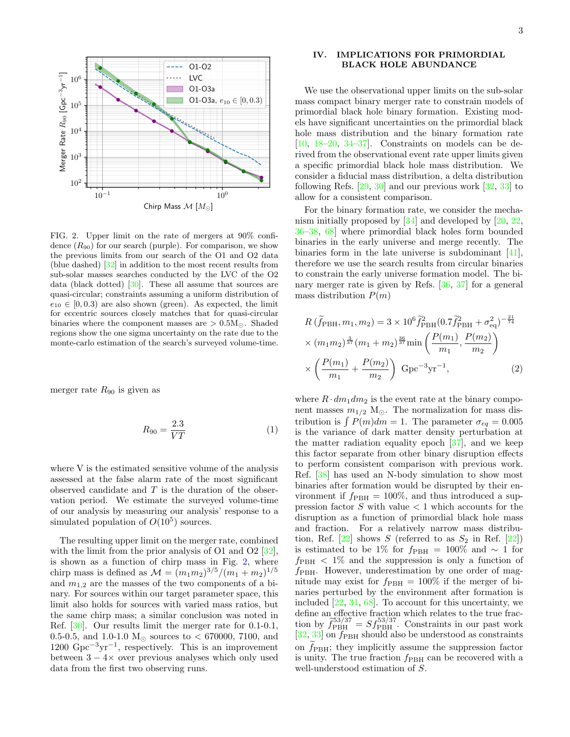

<span id="page-2-0"></span>FIG. 2. Upper limit on the rate of mergers at 90% confidence  $(R_{90})$  for our search (purple). For comparison, we show the previous limits from our search of the O1 and O2 data (blue dashed) [\[32\]](#page-5-5) in addition to the most recent results from sub-solar masses searches conducted by the LVC of the O2 data (black dotted) [\[30\]](#page-5-13). These all assume that sources are quasi-circular; constraints assuming a uniform distribution of  $e_{10} \in [0, 0.3)$  are also shown (green). As expected, the limit for eccentric sources closely matches that for quasi-circular binaries where the component masses are  $> 0.5M_{\odot}$ . Shaded regions show the one sigma uncertainty on the rate due to the monte-carlo estimation of the search's surveyed volume-time.

merger rate  $R_{90}$  is given as

<span id="page-2-1"></span>
$$
R_{90} = \frac{2.3}{VT} \tag{1}
$$

where V is the estimated sensitive volume of the analysis assessed at the false alarm rate of the most significant observed candidate and  $T$  is the duration of the observation period. We estimate the surveyed volume-time of our analysis by measuring our analysis' response to a simulated population of  $O(10^5)$  sources.

The resulting upper limit on the merger rate, combined with the limit from the prior analysis of O1 and O2 [\[32\]](#page-5-5), is shown as a function of chirp mass in Fig. [2,](#page-2-0) where chirp mass is defined as  $M = (m_1 m_2)^{3/5} / (m_1 + m_2)^{1/5}$ and  $m_{1,2}$  are the masses of the two components of a binary. For sources within our target parameter space, this limit also holds for sources with varied mass ratios, but the same chirp mass; a similar conclusion was noted in Ref. [\[30\]](#page-5-13). Our results limit the merger rate for 0.1-0.1, 0.5-0.5, and 1.0-1.0  $M_{\odot}$  sources to < 670000, 7100, and  $1200 \text{ Gpc}^{-3} \text{yr}^{-1}$ , respectively. This is an improvement between  $3 - 4 \times$  over previous analyses which only used data from the first two observing runs.

## IV. IMPLICATIONS FOR PRIMORDIAL BLACK HOLE ABUNDANCE

We use the observational upper limits on the sub-solar mass compact binary merger rate to constrain models of primordial black hole binary formation. Existing models have significant uncertainties on the primordial black hole mass distribution and the binary formation rate  $[10, 18-20, 34-37]$  $[10, 18-20, 34-37]$  $[10, 18-20, 34-37]$  $[10, 18-20, 34-37]$  $[10, 18-20, 34-37]$ . Constraints on models can be derived from the observational event rate upper limits given a specific primordial black hole mass distribution. We consider a fiducial mass distribution, a delta distribution following Refs. [\[29,](#page-5-3) [30\]](#page-5-13) and our previous work [\[32,](#page-5-5) [33\]](#page-5-6) to allow for a consistent comparison.

For the binary formation rate, we consider the mechanism initially proposed by [\[34\]](#page-5-7) and developed by [\[20,](#page-4-16) [22,](#page-4-11) [36–](#page-5-25)[38,](#page-5-9) [68\]](#page-6-8) where primordial black holes form bounded binaries in the early universe and merge recently. The binaries form in the late universe is subdominant [\[41\]](#page-5-12), therefore we use the search results from circular binaries to constrain the early universe formation model. The binary merger rate is given by Refs. [\[36,](#page-5-25) [37\]](#page-5-8) for a general mass distribution  $P(m)$ 

<span id="page-2-2"></span>
$$
R\left(\tilde{f}_{\text{PBH}}, m_1, m_2\right) = 3 \times 10^6 \tilde{f}_{\text{PBH}}^2 (0.7 \tilde{f}_{\text{PBH}}^2 + \sigma_{\text{eq}}^2)^{-\frac{21}{74}} \times (m_1 m_2)^{\frac{3}{37}} (m_1 + m_2)^{\frac{36}{37}} \min\left(\frac{P(m_1)}{m_1}, \frac{P(m_2)}{m_2}\right) \times \left(\frac{P(m_1)}{m_1} + \frac{P(m_2)}{m_2}\right) \text{ Gpc}^{-3} \text{yr}^{-1},
$$
\n(2)

where  $R \cdot dm_1 dm_2$  is the event rate at the binary component masses  $m_{1/2}$  M<sub> $\odot$ </sub>. The normalization for mass distribution is  $\int P(m)dm = 1$ . The parameter  $\sigma_{eq} = 0.005$ is the variance of dark matter density perturbation at the matter radiation equality epoch [\[37\]](#page-5-8), and we keep this factor separate from other binary disruption effects to perform consistent comparison with previous work. Ref. [\[38\]](#page-5-9) has used an N-body simulation to show most binaries after formation would be disrupted by their environment if  $f_{\rm PBH} = 100\%$ , and thus introduced a suppression factor  $S$  with value  $\lt 1$  which accounts for the disruption as a function of primordial black hole mass and fraction. For a relatively narrow mass distribution, Ref.  $[22]$  shows S (referred to as  $S_2$  in Ref.  $[22]$ ) is estimated to be 1% for  $f_{\rm PBH} = 100\%$  and  $\sim 1$  for  $f_{\rm PBH}$  < 1% and the suppression is only a function of  $f_{\rm PBH}$ . However, underestimation by one order of magnitude may exist for  $f_{\rm PBH} = 100\%$  if the merger of binaries perturbed by the environment after formation is included  $[22, 31, 68]$  $[22, 31, 68]$  $[22, 31, 68]$  $[22, 31, 68]$  $[22, 31, 68]$ . To account for this uncertainty, we define an effective fraction which relates to the true fraction by  $\tilde{f}_{\text{PBH}}^{53/37} = S f_{\text{PBH}}^{53/37}$ . Constraints in our past work  $[32, 33]$  $[32, 33]$  $[32, 33]$  on  $f_{\rm PBH}$  should also be understood as constraints on  $f_{\rm PBH}$ ; they implicitly assume the suppression factor is unity. The true fraction  $f_{\rm PBH}$  can be recovered with a well-understood estimation of S.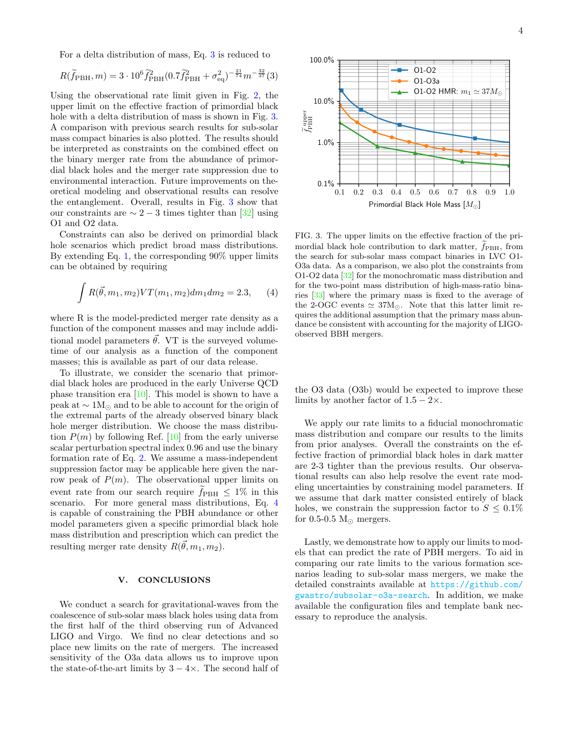For a delta distribution of mass, Eq. [3](#page-3-0) is reduced to

<span id="page-3-0"></span>
$$
R(\widetilde{f}_{\rm PBH}, m) = 3 \cdot 10^6 \widetilde{f}_{\rm PBH}^2 (0.7 \widetilde{f}_{\rm PBH}^2 + \sigma_{\rm eq}^2)^{-\frac{21}{74}} m^{-\frac{32}{37}}(3)
$$

Using the observational rate limit given in Fig. [2,](#page-2-0) the upper limit on the effective fraction of primordial black hole with a delta distribution of mass is shown in Fig. [3.](#page-3-1) A comparison with previous search results for sub-solar mass compact binaries is also plotted. The results should be interpreted as constraints on the combined effect on the binary merger rate from the abundance of primordial black holes and the merger rate suppression due to environmental interaction. Future improvements on theoretical modeling and observational results can resolve the entanglement. Overall, results in Fig. [3](#page-3-1) show that our constraints are  $\sim 2-3$  times tighter than [\[32\]](#page-5-5) using O1 and O2 data.

Constraints can also be derived on primordial black hole scenarios which predict broad mass distributions. By extending Eq. [1,](#page-2-1) the corresponding 90% upper limits can be obtained by requiring

<span id="page-3-2"></span>
$$
\int R(\vec{\theta}, m_1, m_2) V T(m_1, m_2) dm_1 dm_2 = 2.3,
$$
 (4)

where R is the model-predicted merger rate density as a function of the component masses and may include additional model parameters  $\vec{\theta}$ . VT is the surveyed volumetime of our analysis as a function of the component masses; this is available as part of our data release.

To illustrate, we consider the scenario that primordial black holes are produced in the early Universe QCD phase transition era [\[10\]](#page-4-8). This model is shown to have a peak at  $\sim 1 M_{\odot}$  and to be able to account for the origin of the extremal parts of the already observed binary black hole merger distribution. We choose the mass distribution  $P(m)$  by following Ref. [\[10\]](#page-4-8) from the early universe scalar perturbation spectral index 0.96 and use the binary formation rate of Eq. [2.](#page-2-2) We assume a mass-independent suppression factor may be applicable here given the narrow peak of  $P(m)$ . The observational upper limits on event rate from our search require  $f_{\text{PBH}} \leq 1\%$  in this scenario. For more general mass distributions, Eq. [4](#page-3-2) is capable of constraining the PBH abundance or other model parameters given a specific primordial black hole mass distribution and prescription which can predict the resulting merger rate density  $R(\vec{\theta}, m_1, m_2)$ .

### V. CONCLUSIONS

We conduct a search for gravitational-waves from the coalescence of sub-solar mass black holes using data from the first half of the third observing run of Advanced LIGO and Virgo. We find no clear detections and so place new limits on the rate of mergers. The increased sensitivity of the O3a data allows us to improve upon the state-of-the-art limits by  $3 - 4 \times$ . The second half of



<span id="page-3-1"></span>FIG. 3. The upper limits on the effective fraction of the primordial black hole contribution to dark matter,  $\tilde{f}_{\text{PBH}}$ , from the search for sub-solar mass compact binaries in LVC O1- O3a data. As a comparison, we also plot the constraints from O1-O2 data [\[32\]](#page-5-5) for the monochromatic mass distribution and for the two-point mass distribution of high-mass-ratio binaries [\[33\]](#page-5-6) where the primary mass is fixed to the average of the 2-OGC events  $\simeq 37M_{\odot}$ . Note that this latter limit requires the additional assumption that the primary mass abundance be consistent with accounting for the majority of LIGOobserved BBH mergers.

the O3 data (O3b) would be expected to improve these limits by another factor of  $1.5 - 2 \times$ .

We apply our rate limits to a fiducial monochromatic mass distribution and compare our results to the limits from prior analyses. Overall the constraints on the effective fraction of primordial black holes in dark matter are 2-3 tighter than the previous results. Our observational results can also help resolve the event rate modeling uncertainties by constraining model parameters. If we assume that dark matter consisted entirely of black holes, we constrain the suppression factor to  $S \leq 0.1\%$ for 0.5-0.5  $M_{\odot}$  mergers.

Lastly, we demonstrate how to apply our limits to models that can predict the rate of PBH mergers. To aid in comparing our rate limits to the various formation scenarios leading to sub-solar mass mergers, we make the detailed constraints available at [https://github.com/](https://github.com/gwastro/subsolar-o3a-search) [gwastro/subsolar-o3a-search](https://github.com/gwastro/subsolar-o3a-search). In addition, we make available the configuration files and template bank necessary to reproduce the analysis.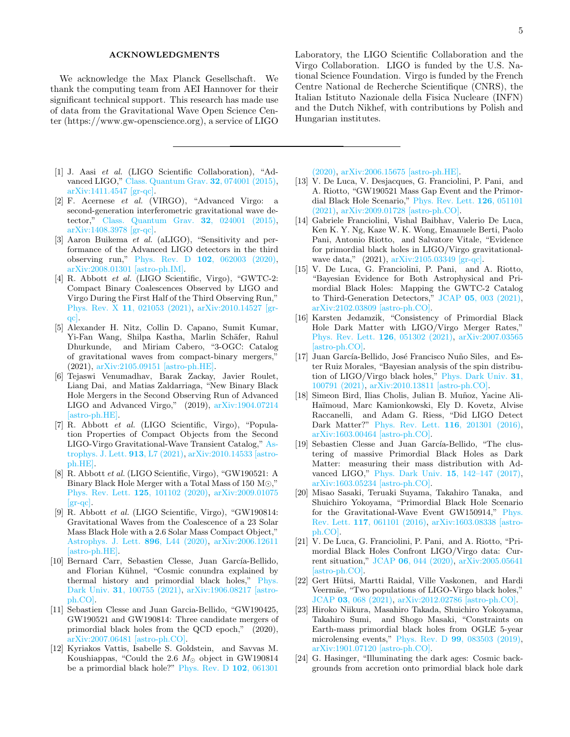### ACKNOWLEDGMENTS

We acknowledge the Max Planck Gesellschaft. We thank the computing team from AEI Hannover for their significant technical support. This research has made use of data from the Gravitational Wave Open Science Center (https://www.gw-openscience.org), a service of LIGO

- <span id="page-4-0"></span>[1] J. Aasi et al. (LIGO Scientific Collaboration), "Advanced LIGO," [Class. Quantum Grav.](http://dx.doi.org/10.1088/0264-9381/32/7/074001) 32, 074001 (2015), [arXiv:1411.4547 \[gr-qc\].](http://arxiv.org/abs/1411.4547)
- <span id="page-4-1"></span>[2] F. Acernese et al. (VIRGO), "Advanced Virgo: a second-generation interferometric gravitational wave detector," [Class. Quantum Grav.](http://dx.doi.org/ 10.1088/0264-9381/32/2/024001) 32, 024001 (2015), [arXiv:1408.3978 \[gr-qc\].](http://arxiv.org/abs/1408.3978)
- <span id="page-4-2"></span>[3] Aaron Buikema et al. (aLIGO), "Sensitivity and performance of the Advanced LIGO detectors in the third observing run," Phys. Rev. D 102[, 062003 \(2020\),](http://dx.doi.org/ 10.1103/PhysRevD.102.062003) [arXiv:2008.01301 \[astro-ph.IM\].](http://arxiv.org/abs/2008.01301)
- <span id="page-4-3"></span>[4] R. Abbott et al. (LIGO Scientific, Virgo), "GWTC-2: Compact Binary Coalescences Observed by LIGO and Virgo During the First Half of the Third Observing Run," Phys. Rev. X 11[, 021053 \(2021\),](http://dx.doi.org/10.1103/PhysRevX.11.021053) [arXiv:2010.14527 \[gr](http://arxiv.org/abs/2010.14527)[qc\].](http://arxiv.org/abs/2010.14527)
- <span id="page-4-17"></span>[5] Alexander H. Nitz, Collin D. Capano, Sumit Kumar, Yi-Fan Wang, Shilpa Kastha, Marlin Schäfer, Rahul Dhurkunde, and Miriam Cabero, "3-OGC: Catalog of gravitational waves from compact-binary mergers," (2021), [arXiv:2105.09151 \[astro-ph.HE\].](http://arxiv.org/abs/2105.09151)
- <span id="page-4-4"></span>[6] Tejaswi Venumadhav, Barak Zackay, Javier Roulet, Liang Dai, and Matias Zaldarriaga, "New Binary Black Hole Mergers in the Second Observing Run of Advanced LIGO and Advanced Virgo," (2019), [arXiv:1904.07214](http://arxiv.org/abs/1904.07214) [\[astro-ph.HE\].](http://arxiv.org/abs/1904.07214)
- <span id="page-4-5"></span>[7] R. Abbott et al. (LIGO Scientific, Virgo), "Population Properties of Compact Objects from the Second LIGO-Virgo Gravitational-Wave Transient Catalog," [As](http://dx.doi.org/10.3847/2041-8213/abe949)[trophys. J. Lett.](http://dx.doi.org/10.3847/2041-8213/abe949) 913, L7 (2021), [arXiv:2010.14533 \[astro](http://arxiv.org/abs/2010.14533)[ph.HE\].](http://arxiv.org/abs/2010.14533)
- <span id="page-4-6"></span>[8] R. Abbott et al. (LIGO Scientific, Virgo), "GW190521: A Binary Black Hole Merger with a Total Mass of 150  $\text{M}\odot$ ," [Phys. Rev. Lett.](http://dx.doi.org/10.1103/PhysRevLett.125.101102) 125, 101102 (2020), [arXiv:2009.01075](http://arxiv.org/abs/2009.01075)  $|gr-qc|$ .
- <span id="page-4-7"></span>[9] R. Abbott et al. (LIGO Scientific, Virgo), "GW190814: Gravitational Waves from the Coalescence of a 23 Solar Mass Black Hole with a 2.6 Solar Mass Compact Object," [Astrophys. J. Lett.](http://dx.doi.org/10.3847/2041-8213/ab960f) 896, L44 (2020), [arXiv:2006.12611](http://arxiv.org/abs/2006.12611) [\[astro-ph.HE\].](http://arxiv.org/abs/2006.12611)
- <span id="page-4-8"></span>[10] Bernard Carr, Sebastien Clesse, Juan García-Bellido, and Florian Kühnel, "Cosmic conundra explained by thermal history and primordial black holes," [Phys.](http://dx.doi.org/10.1016/j.dark.2020.100755) Dark Univ. 31[, 100755 \(2021\),](http://dx.doi.org/10.1016/j.dark.2020.100755) [arXiv:1906.08217 \[astro](http://arxiv.org/abs/1906.08217)[ph.CO\].](http://arxiv.org/abs/1906.08217)
- <span id="page-4-12"></span>[11] Sebastien Clesse and Juan Garcia-Bellido, "GW190425, GW190521 and GW190814: Three candidate mergers of primordial black holes from the QCD epoch," (2020), [arXiv:2007.06481 \[astro-ph.CO\].](http://arxiv.org/abs/2007.06481)
- [12] Kyriakos Vattis, Isabelle S. Goldstein, and Savvas M. Koushiappas, "Could the 2.6  $M_{\odot}$  object in GW190814 be a primordial black hole?" [Phys. Rev. D](http://dx.doi.org/10.1103/PhysRevD.102.061301) 102, 061301

Laboratory, the LIGO Scientific Collaboration and the Virgo Collaboration. LIGO is funded by the U.S. National Science Foundation. Virgo is funded by the French Centre National de Recherche Scientifique (CNRS), the Italian Istituto Nazionale della Fisica Nucleare (INFN) and the Dutch Nikhef, with contributions by Polish and Hungarian institutes.

[\(2020\),](http://dx.doi.org/10.1103/PhysRevD.102.061301) [arXiv:2006.15675 \[astro-ph.HE\].](http://arxiv.org/abs/2006.15675)

- <span id="page-4-9"></span>[13] V. De Luca, V. Desjacques, G. Franciolini, P. Pani, and A. Riotto, "GW190521 Mass Gap Event and the Primordial Black Hole Scenario," [Phys. Rev. Lett.](http://dx.doi.org/10.1103/PhysRevLett.126.051101) 126, 051101 [\(2021\),](http://dx.doi.org/10.1103/PhysRevLett.126.051101) [arXiv:2009.01728 \[astro-ph.CO\].](http://arxiv.org/abs/2009.01728)
- <span id="page-4-10"></span>[14] Gabriele Franciolini, Vishal Baibhav, Valerio De Luca, Ken K. Y. Ng, Kaze W. K. Wong, Emanuele Berti, Paolo Pani, Antonio Riotto, and Salvatore Vitale, "Evidence for primordial black holes in LIGO/Virgo gravitationalwave data," (2021), [arXiv:2105.03349 \[gr-qc\].](http://arxiv.org/abs/2105.03349)
- [15] V. De Luca, G. Franciolini, P. Pani, and A. Riotto, "Bayesian Evidence for Both Astrophysical and Primordial Black Holes: Mapping the GWTC-2 Catalog to Third-Generation Detectors," JCAP 05[, 003 \(2021\),](http://dx.doi.org/ 10.1088/1475-7516/2021/05/003) [arXiv:2102.03809 \[astro-ph.CO\].](http://arxiv.org/abs/2102.03809)
- [16] Karsten Jedamzik, "Consistency of Primordial Black Hole Dark Matter with LIGO/Virgo Merger Rates," [Phys. Rev. Lett.](http://dx.doi.org/10.1103/PhysRevLett.126.051302) 126, 051302 (2021), [arXiv:2007.03565](http://arxiv.org/abs/2007.03565) [\[astro-ph.CO\].](http://arxiv.org/abs/2007.03565)
- [17] Juan García-Bellido, José Francisco Nuño Siles, and Ester Ruiz Morales, "Bayesian analysis of the spin distribution of LIGO/Virgo black holes," [Phys. Dark Univ.](http://dx.doi.org/10.1016/j.dark.2021.100791) 31, [100791 \(2021\),](http://dx.doi.org/10.1016/j.dark.2021.100791) [arXiv:2010.13811 \[astro-ph.CO\].](http://arxiv.org/abs/2010.13811)
- <span id="page-4-15"></span>[18] Simeon Bird, Ilias Cholis, Julian B. Muñoz, Yacine Ali-Haïmoud, Marc Kamionkowski, Ely D. Kovetz, Alvise Raccanelli, and Adam G. Riess, "Did LIGO Detect Dark Matter?" [Phys. Rev. Lett.](http://dx.doi.org/ 10.1103/PhysRevLett.116.201301) 116, 201301 (2016), [arXiv:1603.00464 \[astro-ph.CO\].](http://arxiv.org/abs/1603.00464)
- [19] Sebastien Clesse and Juan García-Bellido, "The clustering of massive Primordial Black Holes as Dark Matter: measuring their mass distribution with Advanced LIGO," [Phys. Dark Univ.](http://dx.doi.org/ 10.1016/j.dark.2016.10.002) 15, 142–147 (2017), [arXiv:1603.05234 \[astro-ph.CO\].](http://arxiv.org/abs/1603.05234)
- <span id="page-4-16"></span>[20] Misao Sasaki, Teruaki Suyama, Takahiro Tanaka, and Shuichiro Yokoyama, "Primordial Black Hole Scenario for the Gravitational-Wave Event GW150914," [Phys.](http://dx.doi.org/10.1103/PhysRevLett.117.061101) Rev. Lett. 117[, 061101 \(2016\),](http://dx.doi.org/10.1103/PhysRevLett.117.061101) [arXiv:1603.08338 \[astro](http://arxiv.org/abs/1603.08338)[ph.CO\].](http://arxiv.org/abs/1603.08338)
- [21] V. De Luca, G. Franciolini, P. Pani, and A. Riotto, "Primordial Black Holes Confront LIGO/Virgo data: Current situation," JCAP 06[, 044 \(2020\),](http://dx.doi.org/ 10.1088/1475-7516/2020/06/044) [arXiv:2005.05641](http://arxiv.org/abs/2005.05641) [\[astro-ph.CO\].](http://arxiv.org/abs/2005.05641)
- <span id="page-4-11"></span>[22] Gert Hütsi, Martti Raidal, Ville Vaskonen, and Hardi Veermäe, "Two populations of LIGO-Virgo black holes," JCAP 03[, 068 \(2021\),](http://dx.doi.org/ 10.1088/1475-7516/2021/03/068) [arXiv:2012.02786 \[astro-ph.CO\].](http://arxiv.org/abs/2012.02786)
- <span id="page-4-13"></span>[23] Hiroko Niikura, Masahiro Takada, Shuichiro Yokoyama, Takahiro Sumi, and Shogo Masaki, "Constraints on Earth-mass primordial black holes from OGLE 5-year microlensing events," Phys. Rev. D 99[, 083503 \(2019\),](http://dx.doi.org/10.1103/PhysRevD.99.083503) [arXiv:1901.07120 \[astro-ph.CO\].](http://arxiv.org/abs/1901.07120)
- <span id="page-4-14"></span>[24] G. Hasinger, "Illuminating the dark ages: Cosmic backgrounds from accretion onto primordial black hole dark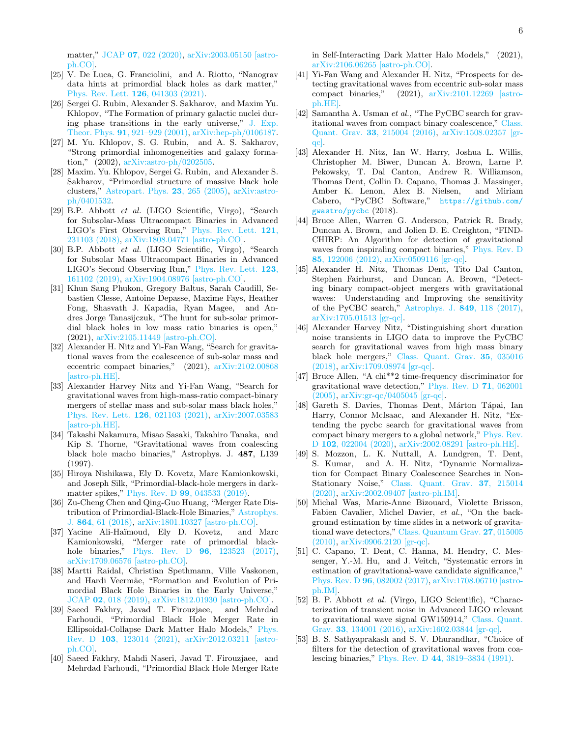matter," JCAP 07[, 022 \(2020\),](http://dx.doi.org/10.1088/1475-7516/2020/07/022) [arXiv:2003.05150 \[astro](http://arxiv.org/abs/2003.05150)[ph.CO\].](http://arxiv.org/abs/2003.05150)

- <span id="page-5-0"></span>[25] V. De Luca, G. Franciolini, and A. Riotto, "Nanograv data hints at primordial black holes as dark matter," [Phys. Rev. Lett.](http://dx.doi.org/ 10.1103/PhysRevLett.126.041303) 126, 041303 (2021).
- <span id="page-5-1"></span>[26] Sergei G. Rubin, Alexander S. Sakharov, and Maxim Yu. Khlopov, "The Formation of primary galactic nuclei during phase transitions in the early universe," [J. Exp.](http://dx.doi.org/10.1134/1.1385631) Theor. Phys. 91[, 921–929 \(2001\),](http://dx.doi.org/10.1134/1.1385631) [arXiv:hep-ph/0106187.](http://arxiv.org/abs/hep-ph/0106187)
- [27] M. Yu. Khlopov, S. G. Rubin, and A. S. Sakharov, "Strong primordial inhomogeneities and galaxy formation," (2002), [arXiv:astro-ph/0202505.](http://arxiv.org/abs/astro-ph/0202505)
- <span id="page-5-2"></span>[28] Maxim. Yu. Khlopov, Sergei G. Rubin, and Alexander S. Sakharov, "Primordial structure of massive black hole clusters," [Astropart. Phys.](http://dx.doi.org/10.1016/j.astropartphys.2004.12.002) 23, 265 (2005), [arXiv:astro](http://arxiv.org/abs/astro-ph/0401532)[ph/0401532.](http://arxiv.org/abs/astro-ph/0401532)
- <span id="page-5-3"></span>[29] B.P. Abbott et al. (LIGO Scientific, Virgo), "Search for Subsolar-Mass Ultracompact Binaries in Advanced LIGO's First Observing Run," [Phys. Rev. Lett.](http://dx.doi.org/10.1103/PhysRevLett.121.231103) 121, [231103 \(2018\),](http://dx.doi.org/10.1103/PhysRevLett.121.231103) [arXiv:1808.04771 \[astro-ph.CO\].](http://arxiv.org/abs/1808.04771)
- <span id="page-5-13"></span>[30] B.P. Abbott et al. (LIGO Scientific, Virgo), "Search for Subsolar Mass Ultracompact Binaries in Advanced LIGO's Second Observing Run," [Phys. Rev. Lett.](http://dx.doi.org/10.1103/PhysRevLett.123.161102) 123, [161102 \(2019\),](http://dx.doi.org/10.1103/PhysRevLett.123.161102) [arXiv:1904.08976 \[astro-ph.CO\].](http://arxiv.org/abs/1904.08976)
- <span id="page-5-4"></span>[31] Khun Sang Phukon, Gregory Baltus, Sarah Caudill, Sebastien Clesse, Antoine Depasse, Maxime Fays, Heather Fong, Shasvath J. Kapadia, Ryan Magee, and Andres Jorge Tanasijczuk, "The hunt for sub-solar primordial black holes in low mass ratio binaries is open," (2021), [arXiv:2105.11449 \[astro-ph.CO\].](http://arxiv.org/abs/2105.11449)
- <span id="page-5-5"></span>[32] Alexander H. Nitz and Yi-Fan Wang, "Search for gravitational waves from the coalescence of sub-solar mass and eccentric compact binaries," (2021), [arXiv:2102.00868](http://arxiv.org/abs/2102.00868) [\[astro-ph.HE\].](http://arxiv.org/abs/2102.00868)
- <span id="page-5-6"></span>[33] Alexander Harvey Nitz and Yi-Fan Wang, "Search for gravitational waves from high-mass-ratio compact-binary mergers of stellar mass and sub-solar mass black holes,' [Phys. Rev. Lett.](http://dx.doi.org/ 10.1103/PhysRevLett.126.021103) 126, 021103 (2021), [arXiv:2007.03583](http://arxiv.org/abs/2007.03583) [\[astro-ph.HE\].](http://arxiv.org/abs/2007.03583)
- <span id="page-5-7"></span>[34] Takashi Nakamura, Misao Sasaki, Takahiro Tanaka, and Kip S. Thorne, "Gravitational waves from coalescing black hole macho binaries," Astrophys. J. 487, L139 (1997).
- [35] Hiroya Nishikawa, Ely D. Kovetz, Marc Kamionkowski, and Joseph Silk, "Primordial-black-hole mergers in darkmatter spikes," Phys. Rev. D 99[, 043533 \(2019\).](http://dx.doi.org/ 10.1103/PhysRevD.99.043533)
- <span id="page-5-25"></span>[36] Zu-Cheng Chen and Qing-Guo Huang, "Merger Rate Distribution of Primordial-Black-Hole Binaries," [Astrophys.](http://dx.doi.org/10.3847/1538-4357/aad6e2) J. 864[, 61 \(2018\),](http://dx.doi.org/10.3847/1538-4357/aad6e2) [arXiv:1801.10327 \[astro-ph.CO\].](http://arxiv.org/abs/1801.10327)
- <span id="page-5-8"></span>[37] Yacine Ali-Haïmoud, Ely D. Kovetz, and Marc Kamionkowski, "Merger rate of primordial blackhole binaries," Phys. Rev. D **96**[, 123523 \(2017\),](http://dx.doi.org/ 10.1103/PhysRevD.96.123523) [arXiv:1709.06576 \[astro-ph.CO\].](http://arxiv.org/abs/1709.06576)
- <span id="page-5-9"></span>[38] Martti Raidal, Christian Spethmann, Ville Vaskonen, and Hardi Veermäe, "Formation and Evolution of Primordial Black Hole Binaries in the Early Universe," JCAP 02[, 018 \(2019\),](http://dx.doi.org/10.1088/1475-7516/2019/02/018) [arXiv:1812.01930 \[astro-ph.CO\].](http://arxiv.org/abs/1812.01930)
- <span id="page-5-10"></span>[39] Saeed Fakhry, Javad T. Firouzjaee, and Mehrdad Farhoudi, "Primordial Black Hole Merger Rate in Ellipsoidal-Collapse Dark Matter Halo Models," [Phys.](http://dx.doi.org/10.1103/PhysRevD.103.123014) Rev. D 103[, 123014 \(2021\),](http://dx.doi.org/10.1103/PhysRevD.103.123014) [arXiv:2012.03211 \[astro](http://arxiv.org/abs/2012.03211)[ph.CO\].](http://arxiv.org/abs/2012.03211)
- <span id="page-5-11"></span>[40] Saeed Fakhry, Mahdi Naseri, Javad T. Firouzjaee, and Mehrdad Farhoudi, "Primordial Black Hole Merger Rate

in Self-Interacting Dark Matter Halo Models," (2021), [arXiv:2106.06265 \[astro-ph.CO\].](http://arxiv.org/abs/2106.06265)

- <span id="page-5-12"></span>[41] Yi-Fan Wang and Alexander H. Nitz, "Prospects for detecting gravitational waves from eccentric sub-solar mass compact binaries," (2021), [arXiv:2101.12269 \[astro](http://arxiv.org/abs/2101.12269)[ph.HE\].](http://arxiv.org/abs/2101.12269)
- <span id="page-5-14"></span>[42] Samantha A. Usman et al., "The PyCBC search for gravitational waves from compact binary coalescence," [Class.](http://dx.doi.org/10.1088/0264-9381/33/21/215004) Quant. Grav. 33[, 215004 \(2016\),](http://dx.doi.org/10.1088/0264-9381/33/21/215004) [arXiv:1508.02357 \[gr](http://arxiv.org/abs/1508.02357)[qc\].](http://arxiv.org/abs/1508.02357)
- <span id="page-5-15"></span>[43] Alexander H. Nitz, Ian W. Harry, Joshua L. Willis, Christopher M. Biwer, Duncan A. Brown, Larne P. Pekowsky, T. Dal Canton, Andrew R. Williamson, Thomas Dent, Collin D. Capano, Thomas J. Massinger, Amber K. Lenon, Alex B. Nielsen, and Miriam Cabero, "PyCBC Software," [https://github.com/](https://github.com/gwastro/pycbc) [gwastro/pycbc](https://github.com/gwastro/pycbc) (2018).
- <span id="page-5-16"></span>[44] Bruce Allen, Warren G. Anderson, Patrick R. Brady, Duncan A. Brown, and Jolien D. E. Creighton, "FIND-CHIRP: An Algorithm for detection of gravitational waves from inspiraling compact binaries," [Phys. Rev. D](http://dx.doi.org/ 10.1103/PhysRevD.85.122006) 85[, 122006 \(2012\),](http://dx.doi.org/ 10.1103/PhysRevD.85.122006) [arXiv:0509116 \[gr-qc\].](http://arxiv.org/abs/0509116)
- <span id="page-5-17"></span>[45] Alexander H. Nitz, Thomas Dent, Tito Dal Canton, Stephen Fairhurst, and Duncan A. Brown, "Detecting binary compact-object mergers with gravitational waves: Understanding and Improving the sensitivity of the PyCBC search," [Astrophys. J.](http://dx.doi.org/ 10.3847/1538-4357/aa8f50) 849, 118 (2017), [arXiv:1705.01513 \[gr-qc\].](http://arxiv.org/abs/1705.01513)
- <span id="page-5-18"></span>[46] Alexander Harvey Nitz, "Distinguishing short duration noise transients in LIGO data to improve the PyCBC search for gravitational waves from high mass binary black hole mergers," [Class. Quant. Grav.](http://dx.doi.org/10.1088/1361-6382/aaa13d) 35, 035016 [\(2018\),](http://dx.doi.org/10.1088/1361-6382/aaa13d) [arXiv:1709.08974 \[gr-qc\].](http://arxiv.org/abs/1709.08974)
- <span id="page-5-19"></span>[47] Bruce Allen, "A chi\*\*2 time-frequency discriminator for gravitational wave detection," [Phys. Rev. D](http://dx.doi.org/10.1103/PhysRevD.71.062001) 71, 062001 [\(2005\),](http://dx.doi.org/10.1103/PhysRevD.71.062001) [arXiv:gr-qc/0405045 \[gr-qc\].](http://arxiv.org/abs/gr-qc/0405045)
- <span id="page-5-20"></span>[48] Gareth S. Davies, Thomas Dent, Márton Tápai, Ian Harry, Connor McIsaac, and Alexander H. Nitz, "Extending the pycbc search for gravitational waves from compact binary mergers to a global network," [Phys. Rev.](http://dx.doi.org/10.1103/PhysRevD.102.022004) D 102[, 022004 \(2020\),](http://dx.doi.org/10.1103/PhysRevD.102.022004) [arXiv:2002.08291 \[astro-ph.HE\].](http://arxiv.org/abs/2002.08291)
- <span id="page-5-21"></span>[49] S. Mozzon, L. K. Nuttall, A. Lundgren, T. Dent, S. Kumar, and A. H. Nitz, "Dynamic Normalization for Compact Binary Coalescence Searches in Non-Stationary Noise," [Class. Quant. Grav.](http://dx.doi.org/ 10.1088/1361-6382/abac6c) 37, 215014 [\(2020\),](http://dx.doi.org/ 10.1088/1361-6382/abac6c) [arXiv:2002.09407 \[astro-ph.IM\].](http://arxiv.org/abs/2002.09407)
- <span id="page-5-22"></span>[50] Michal Was, Marie-Anne Bizouard, Violette Brisson, Fabien Cavalier, Michel Davier, et al., "On the background estimation by time slides in a network of gravitational wave detectors," [Class. Quantum Grav.](http://dx.doi.org/10.1088/0264-9381/27/1/015005) 27, 015005 [\(2010\),](http://dx.doi.org/10.1088/0264-9381/27/1/015005) [arXiv:0906.2120 \[gr-qc\].](http://arxiv.org/abs/0906.2120)
- [51] C. Capano, T. Dent, C. Hanna, M. Hendry, C. Messenger, Y.-M. Hu, and J. Veitch, "Systematic errors in estimation of gravitational-wave candidate significance," Phys. Rev. D 96[, 082002 \(2017\),](http://dx.doi.org/10.1103/PhysRevD.96.082002) [arXiv:1708.06710 \[astro](http://arxiv.org/abs/1708.06710)[ph.IM\].](http://arxiv.org/abs/1708.06710)
- <span id="page-5-23"></span>[52] B. P. Abbott et al. (Virgo, LIGO Scientific), "Characterization of transient noise in Advanced LIGO relevant to gravitational wave signal GW150914," [Class. Quant.](http://dx.doi.org/ 10.1088/0264-9381/33/13/134001) Grav. 33[, 134001 \(2016\),](http://dx.doi.org/ 10.1088/0264-9381/33/13/134001) [arXiv:1602.03844 \[gr-qc\].](http://arxiv.org/abs/1602.03844)
- <span id="page-5-24"></span>[53] B. S. Sathyaprakash and S. V. Dhurandhar, "Choice of filters for the detection of gravitational waves from coalescing binaries," Phys. Rev. D 44[, 3819–3834 \(1991\).](http://dx.doi.org/10.1103/PhysRevD.44.3819)